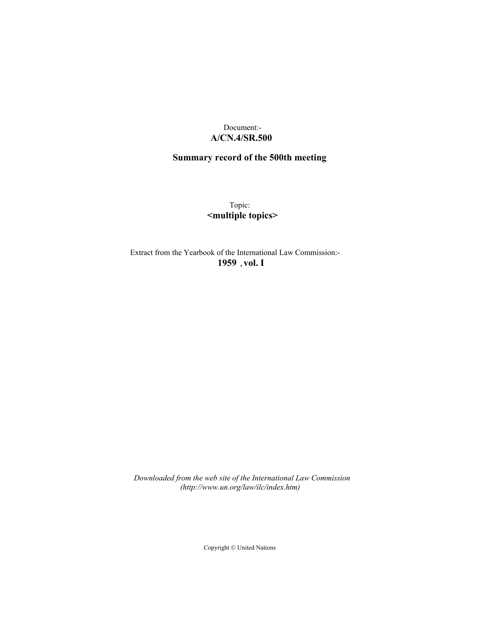# Document:- **A/CN.4/SR.500**

# **Summary record of the 500th meeting**

Topic: **<multiple topics>**

Extract from the Yearbook of the International Law Commission:- **1959** ,**vol. I**

*Downloaded from the web site of the International Law Commission (http://www.un.org/law/ilc/index.htm)*

Copyright © United Nations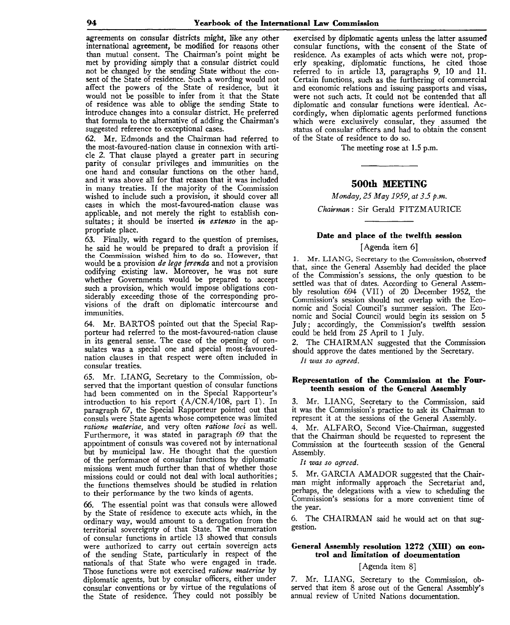agreements on consular districts might, like any other international agreement, be modified for reasons other than mutual consent. The Chairman's point might be met by providing simply that a consular district could not be changed by the sending State without the consent of the State of residence. Such a wording would not affect the powers of the State of residence, but it would not be possible to infer from it that the State of residence was able to oblige the sending State to introduce changes into a consular district. He preferred that formula to the alternative of adding the Chairman's suggested reference to exceptional cases.

62. Mr. Edmonds and the Chairman had referred to the most-favoured-nation clause in connexion with article 2. That clause played a greater part in securing parity of consular privileges and immunities on the one hand and consular functions on the other hand, and it was above all for that reason that it was included in many treaties. If the majority of the Commission wished to include such a provision, it should cover all cases in which the most-favoured-nation clause was applicable, and not merely the right to establish consultates; it should be inserted *in extenso* in the appropriate place.

*63.* Finally, with regard to the question of premises, he said he would be prepared to draft a provision if the Commission wished him to do so. However, that would be a provision *de lege ferenda* and not a provision codifying existing law. Moreover, he was not sure whether Governments would be prepared to accept such a provision, which would impose obligations considerably exceeding those of the corresponding provisions of the draft on diplomatic intercourse and immunities.

64. Mr. BARTOS pointed out that the Special Rapporteur had referred to the most-favoured-nation clause in its general sense. The case of the opening of consulates was a special one and special most-favourednation clauses in that respect were often included in consular treaties.

65. Mr. LIANG, Secretary to the Commission, observed that the important question of consular functions had been commented on in the Special Rapporteur's introduction to his report  $(A/CN.4/108$ , part I). In paragraph 67, the Special Rapporteur pointed out that consuls were State agents whose competence was limited ratione materiae, and very often ratione loci as well. Furthermore, it was stated in paragraph 69 that the appointment of consuls was covered not by international but by municipal law. He thought that the question of the performance of consular functions by diplomatic missions went much further than that of whether those missions could or could not deal with local authorities; the functions themselves should be studied in relation to their performance by the two kinds of agents.

66. The essential point was that consuls were allowed by the State of residence to execute acts which, in the ordinary way, would amount to a derogation from the territorial sovereignty of that State. The enumeration of consular functions in article 13 showed that consuls were authorized to carry out certain sovereign acts of the sending State, particularly in respect of the nationals of that State who were engaged in trade. Those functions were not exercised *ratione materiae* by diplomatic agents, but by consular officers, either under consular conventions or by virtue of the regulations of the State of residence. They could not possibly be

exercised by diplomatic agents unless the latter assumed consular functions, with the consent of the State of residence. As examples of acts which were not, properly speaking, diplomatic functions, he cited those referred to in article 13, paragraphs 9, 10 and 11. Certain functions, such as the furthering of commercial and economic relations and issuing passports and visas, were not such acts. It could not be contended that all diplomatic and consular functions were identical. Accordingly, when diplomatic agents performed functions which were exclusively consular, they assumed the status of consular officers and had to obtain the consent of the State of residence to do so.

The meeting rose at 1.5 p.m.

# **500th MEETING**

*Monday, 25 May 1959, at 3.5 p.m. Chairman:* Sir Gerald FITZMAURICE

# **Date and place of the twelfth session**

## [Agenda item 6]

1. Mr. LIANG, Secretary to the Commission, observed that, since the General Assembly had decided the place of the Commission's sessions, the only question to be settled was that of dates. According to General Assembly resolution 694 (VII) of 20 December 1952, the Commission's session should not overlap with the Economic and Social Council's summer session. The Economic and Social Council would begin its session on 5 July; accordingly, the Commission's twelfth session could be held from 25 April to 1 July.

2. The CHAIRMAN suggested that the Commission should approve the dates mentioned by the Secretary.

*It was so agreed.*

### **Representation of the Commission at the Fourteenth session of the General Assembly**

3. Mr. LIANG, Secretary to the Commission, said it was the Commission's practice to ask its Chairman to represent it at the sessions of the General Assembly.

4. Mr. ALFARO, Second Vice-Chairman, suggested that the Chairman should be requested to represent the Commission at the fourteenth session of the General Assembly.

*It was so agreed.*

5. Mr. GARCIA AMADOR suggested that the Chairman might informally approach the Secretariat and, perhaps, the delegations with a view to scheduling the Commission's sessions for a more convenient time of the year.

6. The CHAIRMAN said he would act on that suggestion.

# **General Assembly resolution 1272 (XIII) on control and limitation of documentation**

## [Agenda item 8]

*7.* Mr. LIANG, Secretary to the Commission, observed that item 8 arose out of the General Assembly's annual review of United Nations documentation.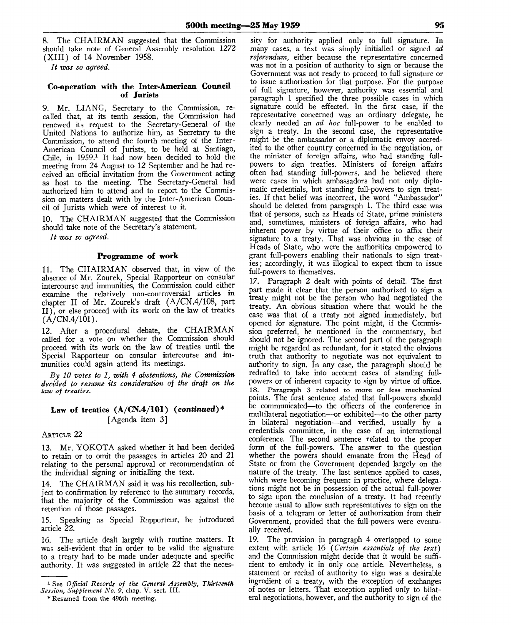8. The CHAIRMAN suggested that the Commission should take note of General Assembly resolution 1272 (XIII) of 14 November 1958.

*It was so agreed.*

### **Co-operation with the Inter-American Council of Jurists**

9. Mr. LIANG, Secretary to the Commission, recalled that, at its tenth session, the Commission had renewed its request to the Secretary-General of the United Nations to authorize him, as Secretary to the Commission, to attend the fourth meeting of the Inter-American Council of Jurists, to be held at Santiago, Chile, in 1959.<sup>1</sup> It had now been decided to hold the meeting from 24 August to 12 September and he had received an official invitation from the Government acting as host to the meeting. The Secretary-General had authorized him to attend and to report to the Commission on matters dealt with by the Inter-American Council of Jurists which were of interest to it.

10. The CHAIRMAN suggested that the Commission should take note of the Secretary's statement.

*It was so agreed.*

## **Programme of work**

11. The CHAIRMAN observed that, in view of the absence of Mr. Zourek, Special Rapporteur on consular intercourse and immunities, the Commission could either examine the relatively non-controversial articles in chapter II of Mr. Zourek's draft (A/CN.4/108, part II), or else proceed with its work on the law of treaties  $(A/CN.4/101)$ .

12. After a procedural debate, the CHAIRMAN called for a vote on whether the Commission should proceed with its work on the law of treaties until the Special Rapporteur on consular intercourse and immunities could again attend its meetings.

*By 10 votes to 1, with 4 abstentions, the Commission decided to resume its consideration of the draft on the lauj of treaties.*

# **Law of treaties (A/CN.4/101)** *{continued)\** [Agenda item 3]

#### ARTICLE 22

13. Mr. YOKOTA asked whether it had been decided to retain or to omit the passages in articles 20 and 21 relating to the personal approval or recommendation of the individual signing or initialling the text.

14. The CHAIRMAN said it was his recollection, subject to confirmation by reference to the summary records, that the majority of the Commission was against the retention of those passages.

15. Speaking as Special Rapporteur, he introduced article *22.*

16. The article dealt largely with routine matters. It was self-evident that in order to be valid the signature to a treaty had to be made under adequate and specific authority. It was suggested in article  $22$  that the neces-

sity for authority applied only to full signature. In many cases, a text was simply initialled or signed *ad referendum,* either because the representative concerned was not in a position of authority to sign or because the Governinent was not ready to proceed to full signature or to issue authorization for that purpose. For the purpose of full signature, however, authority was essential and paragraph 1 specified the three possible cases in which signature could be effected. In the first case, if the representative concerned was an ordinary delegate, he clearly needed an *ad hoc* full-power to be enabled to sign a treaty. In the second case, the representative might be the ambassador or a diplomatic envoy accredited to the other country concerned in the negotiation, or the minister of foreign affairs, who had standing fullpowers to sign treaties. Ministers of foreign affairs often had standing full-powers, and he believed there were cases in which ambassadors had not only diplomatic credentials, but standing full-powers to sign treaties. If that belief was incorrect, the word "Ambassador" should be deleted from paragraph 1. The third case was that of persons, such as Heads of State, prime ministers and, sometimes, ministers of foreign affairs, who had inherent power by virtue of their office to affix their signature to a treaty. That was obvious in the case of Heads of State, who were the authorities empowered to grant full-powers enabling their nationals to sign treaties ; accordingly, it was illogical to expect them to issue full-powers to themselves.

17. Paragraph 2 dealt with points of detail. The first part made it clear that the person authorized to sign a treaty might not be the person who had negotiated the treaty. An obvious situation where that would be the case was that of a treaty not signed immediately, but opened for signature. The point might, if the Commission preferred, be mentioned in the commentary, but should not be ignored. The second part of the paragraph might be regarded as redundant, for it stated the obvious truth that authority to negotiate was not equivalent to authority to sign. In any case, the paragraph should be redrafted to take into account cases of standing fullpowers or of inherent capacity to sign by virtue of office. 18. Paragraph 3 related to more or less mechanical points. The first sentence stated that full-powers should be communicated—to the officers of the conference in multilateral negotiation—or exhibited—to the other party in bilateral negotiation—and verified, usually by a credentials committee, in the case of an international conference. The second sentence related to the proper form of the full-powers. The answer to the question whether the powers should emanate from the Head of State or from the Government depended largely on the nature of the treaty. The last sentence applied to cases, which were becoming frequent in practice, where delegations might not be in possession of the actual full-power to sign upon the conclusion of a treaty. It had recently become usual to allow such representatives to sign on the basis of a telegram or letter of authorization from their Government, provided that the full-powers were eventually received.

19. The provision in paragraph 4 overlapped to some extent with article 16 *(Certain essentials of the text)* and the Commission might decide that it would be sufficient to embody it in only one article. Nevertheless, a statement or recital of authority to sign was a desirable ingredient of a treaty, with the exception of exchanges of notes or letters. That exception applied only to bilateral negotiations, however, and the authority to sign of the

<sup>1</sup> See *Official Records of the General Assembly, Thirteenth Session, Supplement No. 9,* chap. V. sect. III.

<sup>\*</sup> Resumed from the 496th meeting.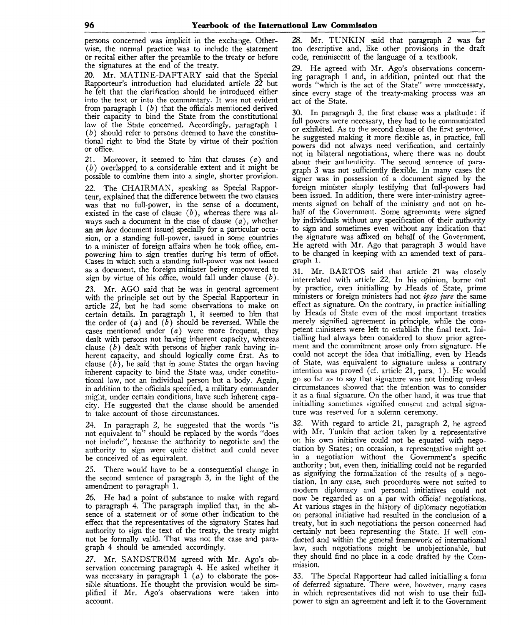persons concerned was implicit in the exchange. Otherwise, the normal practice was to include the statement or recital either after the preamble to the treaty or before the signatures at the end of the treaty.

20. Mr. MATINE-DAFTARY said that the Special Rapporteur's introduction had elucidated article 22 but he felt that the clarification should be introduced either into the text or into the commentary. It was not evident from paragraph 1 *(b)* that the officials mentioned derived their capacity to bind the State from the constitutional law of the State concerned. Accordingly, paragraph 1 *(b)* should refer to persons deemed to have the constitutional right to bind the State by virtue of their position or office.

21. Moreover, it seemed to him that clauses  $(a)$  and *(b)* overlapped to a considerable extent and it might be possible to combine them into a single, shorter provision.

22. The CHAIRMAN, speaking as Special Rapporteur, explained that the difference between the two clauses was that no full-power, in the sense of a document, existed in the case of clause *(b),* whereas there was always such a document in the case of clause  $(a)$ , whether an *an hoc* document issued specially for a particular occasion, or a standing full-power, issued in some countries to a minister of foreign affairs when he took office, empowering him to sign treaties during his term of office. Cases in which such a standing full-power was not issued as a document, the foreign minister being empowered to sign by virtue of his office, would fall under clause *(b).*

23. Mr. AGO said that he was in general agreement with the principle set out by the Special Rapporteur in article 22, but he had some observations to make on certain details. In paragraph 1, it seemed to him that the order of *(a)* and *(b)* should be reversed. While the cases mentioned under  $(a)$  were more frequent, they dealt with persons not having inherent capacity, whereas clause *(b)* dealt with persons of higher rank having inherent capacity, and should logically come first. As to clause *(b),* he said that in some States the organ having inherent capacity to bind the State was, under constitutional law, not an individual person but a body. Again, in addition to the officials specified, a military commander might, under certain conditions, have such inherent capacity. He suggested that the clause should be amended to take account of those circumstances.

24. In paragraph 2, he suggested that the words "is not equivalent to" should be replaced by the words "does not include", because the authority to negotiate and the authority to sign were quite distinct and could never be conceived of as equivalent.

25. There would have to be a consequential change in the second sentence of paragraph 3, in the light of the amendment to paragraph 1.

26. He had a point of substance to make with regard to paragraph 4. The paragraph implied that, in the absence of a statement or of some other indication to the effect that the representatives of the signatory States had authority to sign the text of the treaty, the treaty might not be formally valid. That was not the case and paragraph 4 should be amended accordingly.

27. Mr. SANDSTRÖM agreed with Mr. Ago's observation concerning paragraph 4. He asked whether it was necessary in paragraph  $1(a)$  to elaborate the possible situations. He thought the provision would be simplified if Mr. Ago's observations were taken into account.

28. Mr. TUNKIN said that paragraph 2 was far too descriptive and, like other provisions in the draft code, reminiscent of the language of a textbook.

29. He agreed with Mr. Ago's observations concerning paragraph 1 and, in addition, pointed out that the words "which is the act of the State" were unnecessary, since every stage of the treaty-making process was an act of the State.

30. In paragraph 3, the first clause was a platitude: if full powers were necessary, they had to be communicated or exhibited. As to the second clause of the first sentence, he suggested making it more flexible as, in practice, full powers did not always need verification, and certainly not in bilateral negotiations, where there was no doubt about their authenticity. The second sentence of paragraph 3 was not sufficiently flexible. In many cases the signer was in possession of a document signed by the foreign minister simply testifying that full-powers had been issued. In addition, there were inter-ministry agreements signed on behalf of the ministry and not on behalf of the Government. Some agreements were signed by individuals without any specification of their authority to sign and sometimes even without any indication that the signature was affixed on behalf of the Government. He agreed with Mr. Ago that paragraph 3 would have to be changed in keeping with an amended text of paragraph 1.

31. Mr. BARTOS said that article 21 was closely interrelated with article *22.* In his opinion, borne out by practice, even initialling by Heads of State, prime ministers or foreign ministers had not *ipso jure* the same effect as signature. On the contrary, in practice initialling by Heads of State even of the most important treaties merely signified agreement in principle, while the competent ministers were left to establish the final text. Initialling had always been considered to show prior agreement and the commitment arose only from signature. He could not accept the idea that initialling, even by Heads of State, was equivalent to signature unless a contrary intention was proved (cf. article 21, para. 1). He would go so far as to say that signature was not binding unless circumstances showed that the intention was to consider it as a final signature. On the other hand, it was true that initialling sometimes signified consent and actual signature was reserved for a solemn ceremony.

32. With regard to article 21, paragraph 2, he agreed with Mr. Tunkin that action taken by a representative on his own initiative could not be equated with negotiation by States; on occasion, a representative might act in a negotiation without the Government's specific authority; but, even then, initialling could not be regarded as signifying the formalization of the results of a negotiation. In any case, such procedures were not suited to modern diplomacy and personal initiatives could not now be regarded as on a par with official negotiations. At various stages in the history of diplomacy negotiation on personal initiative had resulted in the conclusion of a treaty, but in such negotiations the person concerned had certainly not been representing the State. If well conducted and within the general framework of international law, such negotiations might be unobjectionable, but they should find no place in a code drafted by the Commission.

33. The Special Rapporteur had called initialling a form of deferred signature. There were, however, many cases in which representatives did not wish to use their fullpower to sign an agreement and left it to the Government